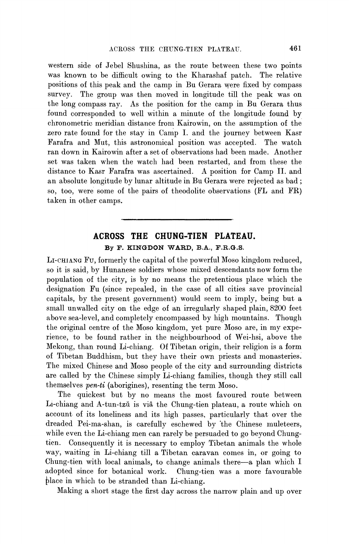western side of Jebel Shushina, as the route between these two points was known to be difficult owing to the Kharashaf patch. The relative positions of this peak and the camp in Bu Gerara were fixed by compass survey. The group was then moved in longitude till the peak was on the long compass ray. As the position for the camp in Hu Gerara thus found corresponded to well within a minute of the longitude found by chronometric meridian distance from Kairowin, on the assumption of the zero rate found for the stay in Camp I. and the journey between Kasr Farafra and Mut, this astronomical position was accepted. The watch ran down in Kairowin after a set of observations had been made. Another set was taken when the watch had been restarted, and from these the distance to Kasr Farafra was ascertained. 4 position for Camp **11.** and an absolute longitude by lunar altitude in Bu Gerara were rejected as bad; so, too, were some of the pairs of theodolite observations (FL and FR) taken in other camps.

## **ACROSS THE CHUNG-TIEN PLATEAU. By F.** KINGDON **WARD, B.A.,** F.R.G.S.

LI-CHIANG Fu, formerly the capital of the powerful Moso kingdom reduced, so it is said. by Hunanese soldiers whose mixed descendants now form the population of the city, is by no means the pretentious place which the designation Fu (since repealed, in the case of all cities save provincial capitals, by the present government) would seem to imply, being but a small unwalled city on the edge of an irregularly shaped plain, 8200 feet above sea-level, and completely encompassed by high mountains. Though the original centre of the Moso kingdom, yet pure Moso are, in my experience, to be found rather in the neighbourhood of Wei-hsi, above the Mekong, than round Li-chiang. Of Tibetan origin, their religion is a form of Tibetan Buddhism, but they have their own priests and monasteries. The mixed Chinese and Moso people of the city and surrounding districts are called by the Chinese simply Li-chiang families, though they still call themselves pen-ti (aborigines), resenting the term Moso.

The quickest but by no means the most favoured route between Li-chiang and A-tun-tzǔ is via the Chung-tien plateau, a route which on account of its loneliness and its high passes, particularly that over the dreaded Pei-ma-shan, is carefully eschewed by the Chinese muleteers, while even the Li-chiang men can rarely be persuaded to go beyond Chungtien. Consequently it is necessary to employ Tibetan animals the whole way, waiting in Li-chiang till a Tibetan caravan comes in, or going to Chung-tien with local animals, to change animals there-a plan which  $I$ adopted since for botanical work. Chung-tien was a more favourable blace in which to be stranded than Li-chiang.

Making a short stage the first day across the narrow plain and up over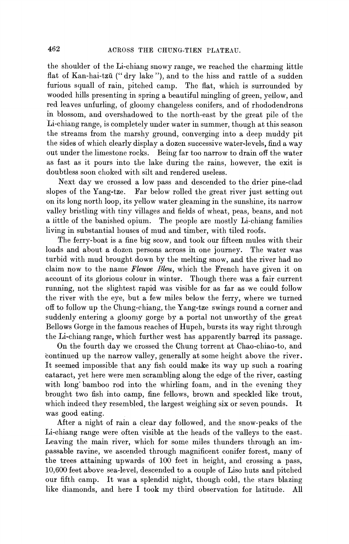the shoulder of the Li-chiang snowy range, we reached the charming little flat of Kan-hai-tzu ("dry lake"), and to the hiss and rattle of a sudden furious squall of rain, pitched camp. The flat, which is surrounded by wooded hills presenting in spring a beautiful mingling of green, yellow, and red leaves unfurling, of gloomy changeless conifers, and of rhododendrons in blossom, and overshadowed to the north-east by the great pile of the Li-chiang range, is completely under water in summer, though at this season the streams from the marshy ground, converging into a deep muddy pit the sides of which clearly display a dozen successive water-levels, find a way out under the limestone rocks. Being far too narrow to drain off the water as fast as it pours into the lake during the rains, however, the exit is doubtless soon choked with silt and rendered useless.

Next day we crossed a low pass and descended to tho drier pine-clad slopes of the Yang-tze. Far below rolled the great river just setting out on its long north loop, its yellow water gleaming in the sunshine, its narrow valley bristling with tiny villages and fields of wheat, peas, beans, and not a little of the banished opium. The people are mostly Li-chiang families living in substantial houses of mud and timber, with tiled roofs.

The ferry-boat is a fine big scow, and took our fifteen mules with their loads and about a dozen persons across in one journey. The water was turbid with mud brought down by the melting snow, and the river had no claim now to the name *Fleuve Bleu*, which the French have given it on account of its glorious colour in winter. Though there was a fair current running, not the slightest rapid was visible for as far as we could follow the river with the eye, but a few miles below the ferry, where we turned off to follow up the Chung-chiang, the Yang-tze swings round a corner and suddenly entering a gloomy gorge by a portal not unworthy of the great Bellows Gorge in the famous reaches of Hupeh, bursts its way right through the Li-chiang range, which further west has apparently barred its passage.

On the fourth day we crossed the Chung torrent at Chao-chiao-to, and continued up the narrow valley, generally at some height above the river. It seemed impossible that any fish could make its way up such a roaring cataract, yet here were men scrambling along the edge of the river, casting with long'bamboo rod into the whirling foam, and in the evening they brought two fish into camp, fine fellows, brown and speckled like trout, which indeed they resembled, the largest weighing six or seven pounds. It was good eating.

After a night of rain a clear day followed, and the snow-peaks of the Li-chiang range were often visible at the heads of the valleys to the east. Leaving the main river, which for some miles thunders through an impassable ravine, we ascended through magnificent conifer forest, many of the trees attaining upwards of 100 feet in height, and crossing a pass, 10,600 feet above sea-level, descended to a couple of Liso huts and pitched our fifth camp. It was a splendid night, though cold, the stars blazing like diamonds, and here I took my third observation for latitude. All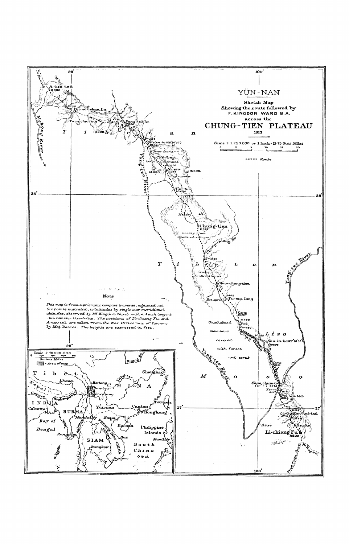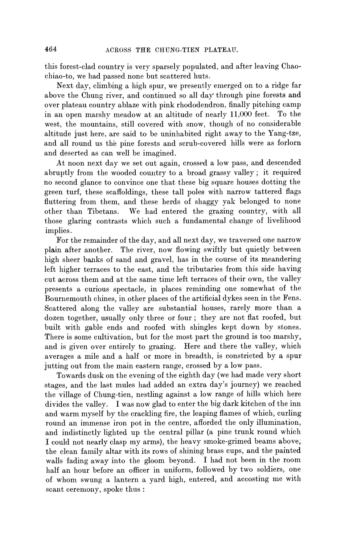this forest-clad country is very sparsely populated, and after leaving Chaochiao-to, we had passed none but scattered huts.

Next day, climbing a high spur, we presently emerged on to a ridge far above the Chung river, and continued so all day through pine forests and over plateau country ablaze with pink rhododendron, finally pitching camp in an open marshy meadow at an altitude of nearly  $11,000$  feet. To the west, the mountains, still covered with snow, though of no considerable altitude just here, are said to be uninhabited right away to the Yang-tze, and all round us the pine forests and scrub-covered hills were as forlorn and deserted as can well be imagined.

At noon next day we set out again, crossed a low pass, and descended abruptly from the wooded country to a broad grassy valley; it required no second glance to convince one that these big square houses dotting the green turf, these scaffoldings, these tall poles with narrow tattered flags fluttering from them, and these herds of shaggy yak belonged to none other than Tibetans. We had entered the grazing country, with all those glaring contrasts which such a fundamental change of livelihood implies.

For the remainder of the day, and all next day, we traversed one narrow plain after another. The river, now flowing swiftly but quietly between high sheer banks of sand and gravel, has in the course of its meandering left higher terraces to the east, and the tributaries from this side having cut across them and at the same time left terraces of their own, the valley presents a curious spectacle, in places reminding one somewhat of the Bournemouth chines, in other places of the artificial dykes seen in the Fens. Scattered along the valley are substantial houses, rarely more than a dozen together, usually only three or four; they are not flat roofed, but built with gable ends and roofed with shingles kept down by stones. There is some cultivation, but for the most part the ground is too marshy, and is given over entirely to grazing. Here and there the valley, which averages a mile and a half or more in breadth, is constricted by a spur jutting out from the main eastern range, crossed by a low pass.

Towards dusk on the evening of the eighth day (we had made very short stages, and the last mules had added an extra day's journey) we reached the village of Chung-tien, nestling against a low range of hills which here divides the valley. I was now glad to enter the big dark kitchen of the inn and warm myself by the crackling fire, the leaping flames of which, curling round an immense iron pot in the centre, afforded the only illumination, and indistinctly lighted up the central pillar (a pine trunk round which I could not nearly clasp my arms), the heavy smoke-grimed beams above, the clean family altar with its rows of shining brass cups, and the painted walls fading away into the gloom beyond. I had not been in the room half an hour before an officer in uniform, followed by two soldiers, one of whom swung a lantern a yard high, entered, and accosting me with scant ceremony, spoke thus :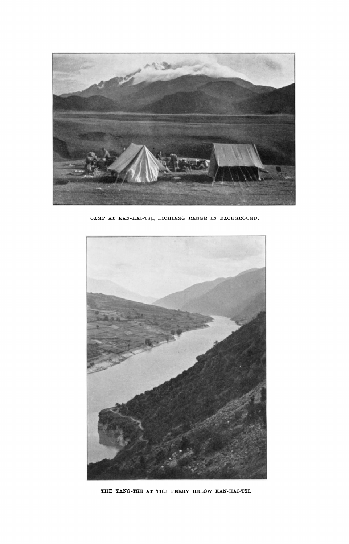

CAMP AT KAN-HAI-TSI, LICHIANG RANGE IN BACKGROUND.



THE YANG-TSE AT THE FERRY BELOW KAN-HAI-TSI.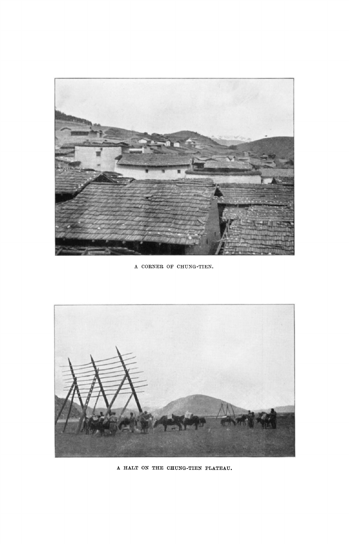

A CORNER OF CHUNG-TIEN.



A HALT ON THE CHUNG-TIEN PLATEAU.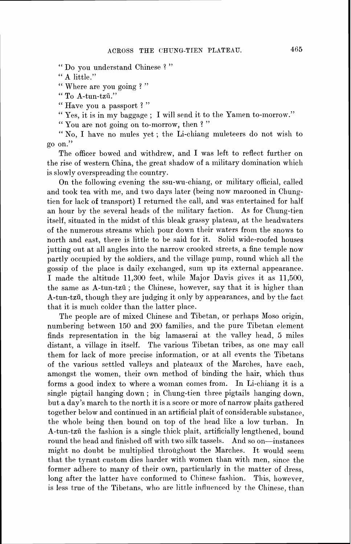" Do vou understand Chinese ? "

" A little."

" Where are you going ? "

" To  $A$ -tun-tz $\check{u}$ ."

" Have you a passport ? "

" Yes, it is in my baggage ; I will send it to the Yamen to-morrow."

" You are not going on to-morrow, then ?"

"No, I have no mules yet; the Li-chiang muleteers do not wish to go on."

The officer bowed and withdrew, and I was left to reflect further on the rise of western China, the great shadow of a military domination which is slowly overspreading the country.

On the following evening the ssu-wu-chiang, or military official, called and took tea with me, and two days later (being now marooned in Chungtien for lack of transport) I returned the call, and was entertained for half an hour by the several heads of the military faction. As for Chung-tien itself, situated in the midst of this bleak grassy plateau, at the headwaters of the numerous streams which pour down their waters from the snows to north and east, there is little to be said for it. Solid wide-roofed houses jutting out at all angles into the narrow crooked streets, a fine temple now partly occupied by the soldiers, and the village pump, round which all the gossip of the place is daily exchanged, sum up its external appearance. I made the altitude  $11,300$  feet, while Major Davis gives it as  $11,500$ , the same as A-tun-tz $\check{u}$ ; the Chinese, however, say that it is higher than A-tun-tzŭ, though they are judging it only by appearances, and by the fact that it is much colder than the latter place.

The people are of mixed Chinese and Tibetan, or perhaps Moso origin, numbering between 150 and 200 families, and the pure Tibetan element finds representation in the big lamaserai at the valley head, 5 miles distant, a village in itself. The various Tibetan tribes, as one may call them for lack of more precise information, or at all events the Tibetans of the various settled valleys and plateaux of the Marches, have each, amongst the women, their own method of binding the hair, which thus forms a good index to where a woman comes from. In Li-chiang it is a single pigtail hanging down; in Chung-tien three pigtails hanging down, but a day's march to the north it is a score or more of narrow plaits gathered together below and continued in an artificial plait of considerable substance, the whole being then bound on top of the head like a low turban. In A-tun-tzŭ the fashion is a single thick plait, artificially lengthened, bound round the head and finished off with two silk tassels. And so on-instances might no doubt be multiplied throughout the Marches. It would seem that the tyrant custom dies harder with women than with men, since the former adhere to many of their own, particularly in the matter of dress, long after the latter have conformed to Chinese fashion. This, however, is less true of the Tibetans, who are little influenced by the Chinese, than